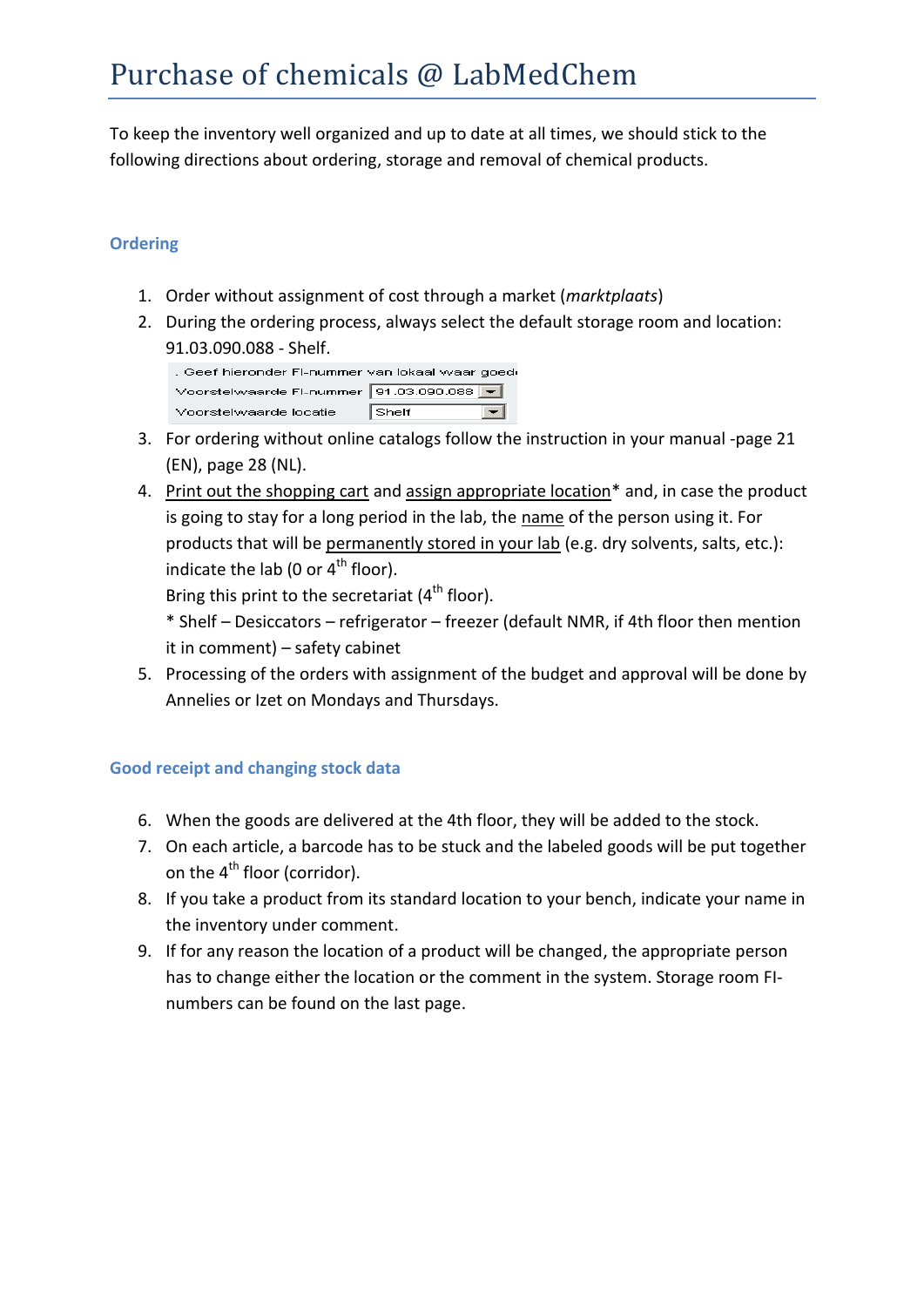To keep the inventory well organized and up to date at all times, we should stick to the following directions about ordering, storage and removal of chemical products.

## **Ordering**

- 1. Order without assignment of cost through a market (*marktplaats*)
- 2. During the ordering process, always select the default storage room and location: 91.03.090.088 - Shelf.

| . Geef hieronder FI-nummer van lokaal waar goedi |               |
|--------------------------------------------------|---------------|
| Voorstelwaarde FI-nummer 91.03.090.088           |               |
| Voorstelwaarde locatie                           | $\vert$ Shelf |

- 3. For ordering without online catalogs follow the instruction in your manual -page 21 (EN), page 28 (NL).
- 4. Print out the shopping cart and assign appropriate location<sup>\*</sup> and, in case the product is going to stay for a long period in the lab, the name of the person using it. For products that will be permanently stored in your lab (e.g. dry solvents, salts, etc.): indicate the lab (0 or  $4<sup>th</sup>$  floor).

Bring this print to the secretariat  $(4^{th}$  floor).

\* Shelf – Desiccators – refrigerator – freezer (default NMR, if 4th floor then mention it in comment) – safety cabinet

5. Processing of the orders with assignment of the budget and approval will be done by Annelies or Izet on Mondays and Thursdays.

## **Good receipt and changing stock data**

- 6. When the goods are delivered at the 4th floor, they will be added to the stock.
- 7. On each article, a barcode has to be stuck and the labeled goods will be put together on the  $4<sup>th</sup>$  floor (corridor).
- 8. If you take a product from its standard location to your bench, indicate your name in the inventory under comment.
- 9. If for any reason the location of a product will be changed, the appropriate person has to change either the location or the comment in the system. Storage room FInumbers can be found on the last page.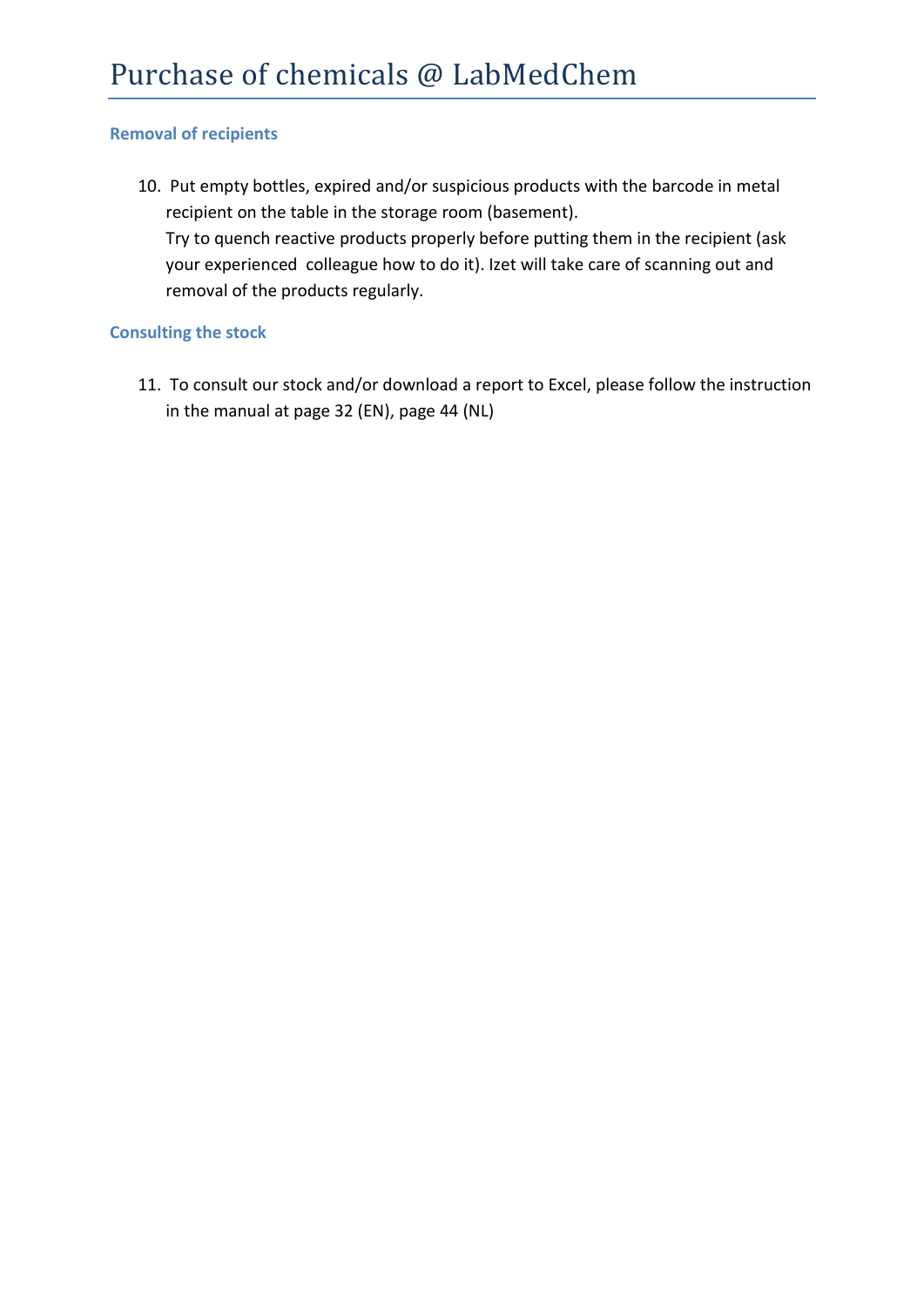#### **Removal of recipients**

10. Put empty bottles, expired and/or suspicious products with the barcode in metal recipient on the table in the storage room (basement). Try to quench reactive products properly before putting them in the recipient (ask your experienced colleague how to do it). Izet will take care of scanning out and removal of the products regularly.

#### **Consulting the stock**

11. To consult our stock and/or download a report to Excel, please follow the instruction in the manual at page 32 (EN), page 44 (NL)